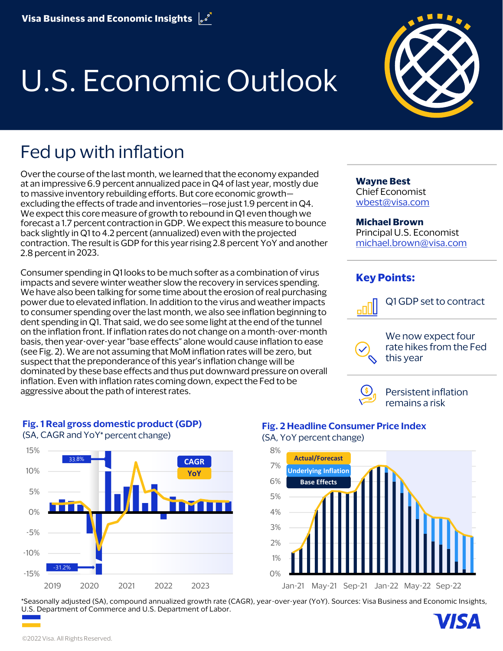# U.S. Economic Outlook



# **Fed up with inflation**

Over the course of the last month, we learned that the economy expanded at an impressive 6.9 percent annualized pace in Q4 of last year, mostly due to massive inventory rebuilding efforts. But core economic growth excluding the effects of trade and inventories—rose just 1.9 percent in Q4. We expect this core measure of growth to rebound in Q1 even though we forecast a 1.7 percent contraction in GDP. We expect this measure to bounce back slightly in Q1 to 4.2 percent (annualized) even with the projected contraction. The result is GDP for this year rising 2.8 percent YoY and another 2.8 percent in 2023.

Consumer spending in Q1 looks to be much softer as a combination of virus impacts and severe winter weather slow the recovery in services spending. We have also been talking for some time about the erosion of real purchasing power due to elevated inflation. In addition to the virus and weather impacts to consumer spending over the last month, we also see inflation beginning to dent spending in Q1. That said, we do see some light at the end of the tunnel on the inflation front. If inflation rates do not change on a month-over-month basis, then year-over-year "base effects" alone would cause inflation to ease (see Fig. 2). We are not assuming that MoM inflation rates will be zero, but suspect that the preponderance of this year's inflation change will be dominated by these base effects and thus put downward pressure on overall inflation. Even with inflation rates coming down, expect the Fed to be aggressive about the path of interest rates.

**Wayne Best**  Chief Economist [wbest@visa.com](mailto:wbest@visa.com) 

#### **Michael Brown**

Principal U.S. Economist [michael.brown@visa.com](mailto:michael.brown@visa.com) 

#### **Key Points:**



Q1 GDP set to contract



We now expect four rate hikes from the Fed this year



Persistent inflation remains a risk



#### **Fig. 1 Real gross domestic product (GDP)**

(SA, CAGR and YoY\* percent change)

### **Fig. 2 Headline Consumer Price Index**

(SA, YoY percent change)



\*Seasonally adjusted (SA), compound annualized growth rate (CAGR), year-over-year (YoY). Sources: Visa Business and Economic Insights, U.S. Department of Commerce and U.S. Department of Labor.

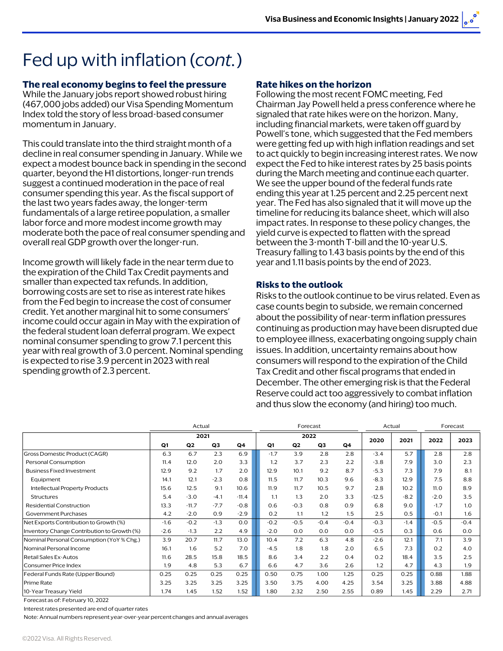# Fed up with inflation (*cont.*)

#### **The real economy begins to feel the pressure**

While the January jobs report showed robust hiring (467,000 jobs added) our Visa Spending Momentum Index told the story of less broad-based consumer momentum in January.

This could translate into the third straight month of a decline in real consumer spending in January. While we expect a modest bounce back in spending in the second quarter, beyond the H1 distortions, longer-run trends suggest a continued moderation in the pace of real consumer spending this year. As the fiscal support of the last two years fades away, the longer-term fundamentals of a large retiree population, a smaller labor force and more modest income growth may moderate both the pace of real consumer spending and overall real GDP growth over the longer-run.

Income growth will likely fade in the near term due to the expiration of the Child Tax Credit payments and smaller than expected tax refunds. In addition, borrowing costs are set to rise as interest rate hikes from the Fed begin to increase the cost of consumer credit. Yet another marginal hit to some consumers' income could occur again in May with the expiration of the federal student loan deferral program. We expect nominal consumer spending to grow 7.1 percent this year with real growth of 3.0 percent. Nominal spending is expected to rise 3.9 percent in 2023 with real spending growth of 2.3 percent.

#### **Rate hikes on the horizon**

Following the most recent FOMC meeting, Fed Chairman Jay Powell held a press conference where he signaled that rate hikes were on the horizon. Many, including financial markets, were taken off guard by Powell's tone, which suggested that the Fed members were getting fed up with high inflation readings and set to act quickly to begin increasing interest rates. We now expect the Fed to hike interest rates by 25 basis points during the March meeting and continue each quarter. We see the upper bound of the federal funds rate ending this year at 1.25 percent and 2.25 percent next year. The Fed has also signaled that it will move up the timeline for reducing its balance sheet, which will also impact rates. In response to these policy changes, the yield curve is expected to flatten with the spread between the 3-month T-bill and the 10-year U.S. Treasury falling to 1.43 basis points by the end of this year and 1.11 basis points by the end of 2023.

#### **Risks to the outlook**

Risks to the outlook continue to be virus related. Even as case counts begin to subside, we remain concerned about the possibility of near-term inflation pressures continuing as production may have been disrupted due to employee illness, exacerbating ongoing supply chain issues. In addition, uncertainty remains about how consumers will respond to the expiration of the Child Tax Credit and other fiscal programs that ended in December. The other emerging risk is that the Federal Reserve could act too aggressively to combat inflation and thus slow the economy (and hiring) too much.

|                                             | Actual |                |                |         | Forecast |                |                |        | Actual  |        | Forecast |        |
|---------------------------------------------|--------|----------------|----------------|---------|----------|----------------|----------------|--------|---------|--------|----------|--------|
|                                             | 2021   |                |                |         | 2022     |                |                |        | 2020    | 2021   | 2022     | 2023   |
|                                             | Q1     | Q <sub>2</sub> | Q <sub>3</sub> | Q4      | Q1       | Q <sub>2</sub> | Q <sub>3</sub> | Q4     |         |        |          |        |
| Gross Domestic Product (CAGR)               | 6.3    | 6.7            | 2.3            | 6.9     | $-1.7$   | 3.9            | 2.8            | 2.8    | $-3.4$  | 5.7    | 2.8      | 2.8    |
| Personal Consumption                        | 11.4   | 12.0           | 2.0            | 3.3     | 1.2      | 3.7            | 2.3            | 2.2    | $-3.8$  | 7.9    | 3.0      | 2.3    |
| <b>Business Fixed Investment</b>            | 12.9   | 9.2            | 1.7            | 2.0     | 12.9     | 10.1           | 9.2            | 8.7    | $-5.3$  | 7.3    | 7.9      | 8.1    |
| Equipment                                   | 14.1   | 12.1           | $-2.3$         | 0.8     | 11.5     | 11.7           | 10.3           | 9.6    | $-8.3$  | 12.9   | 7.5      | 8.8    |
| Intellectual Property Products              | 15.6   | 12.5           | 9.1            | 10.6    | 11.9     | 11.7           | 10.5           | 9.7    | 2.8     | 10.2   | 11.0     | 8.9    |
| Structures                                  | 5.4    | $-3.0$         | $-4.1$         | $-11.4$ | 1.1      | 1.3            | 2.0            | 3.3    | $-12.5$ | $-8.2$ | $-2.0$   | 3.5    |
| <b>Residential Construction</b>             | 13.3   | $-11.7$        | $-7.7$         | $-0.8$  | 0.6      | $-0.3$         | 0.8            | 0.9    | 6.8     | 9.0    | $-1.7$   | 1.0    |
| Government Purchases                        | 4.2    | $-2.0$         | 0.9            | $-2.9$  | 0.2      | 1.1            | 1.2            | 1.5    | 2.5     | 0.5    | $-0.1$   | 1.6    |
| Net Exports Contribution to Growth (%)      | $-1.6$ | $-0.2$         | $-1.3$         | 0.0     | $-0.2$   | $-0.5$         | $-0.4$         | $-0.4$ | $-0.3$  | $-1.4$ | $-0.5$   | $-0.4$ |
| Inventory Change Contribution to Growth (%) | $-2.6$ | $-1.3$         | 2.2            | 4.9     | $-2.0$   | 0.0            | 0.0            | 0.0    | $-0.5$  | 0.3    | 0.6      | 0.0    |
| Nominal Personal Consumption (YoY % Chg.)   | 3.9    | 20.7           | 11.7           | 13.0    | 10.4     | 7.2            | 6.3            | 4.8    | $-2.6$  | 12.1   | 7.1      | 3.9    |
| Nominal Personal Income                     | 16.1   | 1.6            | 5.2            | 7.0     | $-4.5$   | 1.8            | 1.8            | 2.0    | 6.5     | 7.3    | 0.2      | 4.0    |
| Retail Sales Ex-Autos                       | 11.6   | 28.5           | 15.8           | 18.5    | 8.6      | 3.4            | 2.2            | 0.4    | 0.2     | 18.4   | 3.5      | 2.5    |
| Consumer Price Index                        | 1.9    | 4.8            | 5.3            | 6.7     | 6.6      | 4.7            | 3.6            | 2.6    | 1.2     | 4.7    | 4.3      | 1.9    |
| Federal Funds Rate (Upper Bound)            | 0.25   | 0.25           | 0.25           | 0.25    | 0.50     | 0.75           | 1.00           | 1.25   | 0.25    | 0.25   | 0.88     | 1.88   |
| <b>Prime Rate</b>                           | 3.25   | 3.25           | 3.25           | 3.25    | 3.50     | 3.75           | 4.00           | 4.25   | 3.54    | 3.25   | 3.88     | 4.88   |
| 10-Year Treasury Yield                      | 1.74   | 1.45           | 1.52           | 1.52    | 1.80     | 2.32           | 2.50           | 2.55   | 0.89    | 1.45   | 2.29     | 2.71   |

Forecast as of: February 10, 2022

Interest rates presented are end of quarter rates

Note: Annual numbers represent year-over-year percent changes and annual averages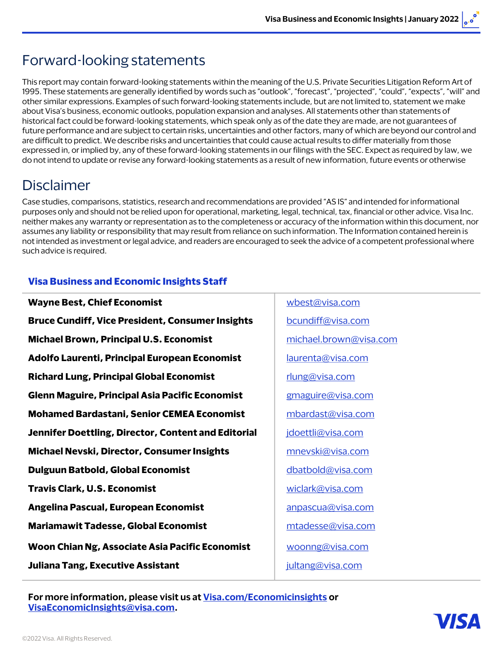## Forward-looking statements

This report may contain forward-looking statements within the meaning of the U.S. Private Securities Litigation Reform Art of 1995. These statements are generally identified by words such as "outlook", "forecast", "projected", "could", "expects", "will" and other similar expressions. Examples of such forward-looking statements include, but are not limited to, statement we make about Visa's business, economic outlooks, population expansion and analyses. All statements other than statements of historical fact could be forward-looking statements, which speak only as of the date they are made, are not guarantees of future performance and are subject to certain risks, uncertainties and other factors, many of which are beyond our control and are difficult to predict. We describe risks and uncertainties that could cause actual results to differ materially from those expressed in, or implied by, any of these forward-looking statements in our filings with the SEC. Expect as required by law, we do not intend to update or revise any forward-looking statements as a result of new information, future events or otherwise

### Disclaimer

Case studies, comparisons, statistics, research and recommendations are provided "AS IS" and intended for informational purposes only and should not be relied upon for operational, marketing, legal, technical, tax, financial or other advice. Visa Inc. neither makes any warranty or representation as to the completeness or accuracy of the information within this document, nor assumes any liability or responsibility that may result from reliance on such information. The Information contained herein is not intended as investment or legal advice, and readers are encouraged to seek the advice of a competent professional where such advice is required.

#### **Visa Business and Economic Insights Staff**

| <b>Wayne Best, Chief Economist</b>                      | wbest@visa.com         |
|---------------------------------------------------------|------------------------|
| <b>Bruce Cundiff, Vice President, Consumer Insights</b> | bcundiff@visa.com      |
| <b>Michael Brown, Principal U.S. Economist</b>          | michael.brown@visa.com |
| Adolfo Laurenti, Principal European Economist           | laurenta@visa.com      |
| <b>Richard Lung, Principal Global Economist</b>         | rlung@visa.com         |
| Glenn Maguire, Principal Asia Pacific Economist         | gmaguire@visa.com      |
| <b>Mohamed Bardastani, Senior CEMEA Economist</b>       | mbardast@visa.com      |
| Jennifer Doettling, Director, Content and Editorial     | jdoettli@visa.com      |
| <b>Michael Nevski, Director, Consumer Insights</b>      | mnevski@visa.com       |
| <b>Dulguun Batbold, Global Economist</b>                | dbatbold@visa.com      |
| <b>Travis Clark, U.S. Economist</b>                     | wiclark@visa.com       |
| Angelina Pascual, European Economist                    | anpascua@visa.com      |
| <b>Mariamawit Tadesse, Global Economist</b>             | mtadesse@visa.com      |
| Woon Chian Ng, Associate Asia Pacific Economist         | woonng@visa.com        |
| <b>Juliana Tang, Executive Assistant</b>                | jultang@visa.com       |
|                                                         |                        |

**Juliana Tang, Executive Assistant** [jultang@visa.com](mailto:jultang@visa.com)  **For more information, please visit us at [Visa.com/Economicinsights](http://www.visa.com/EconomicInsights) or [VisaEconomicInsights@visa.com](mailto:VisaEconomicInsights@visa.com).**